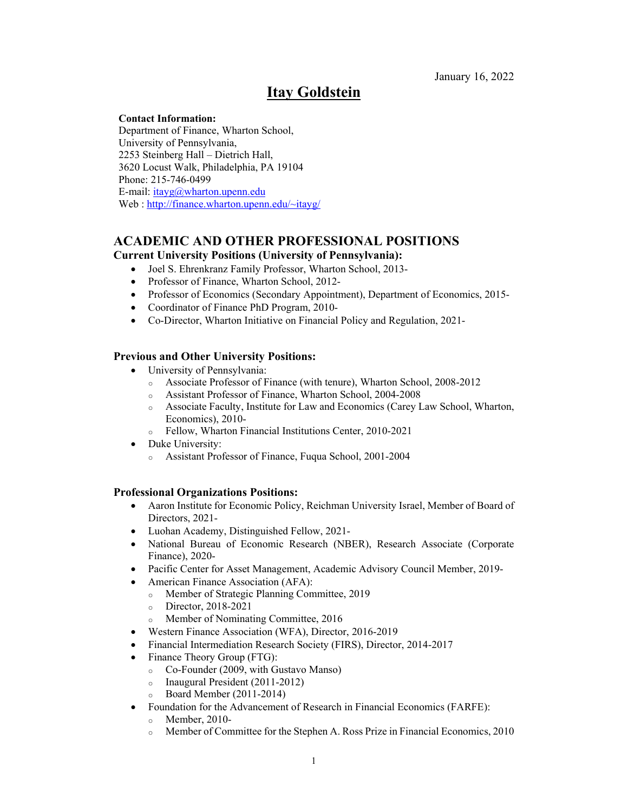January 16, 2022

# **Itay Goldstein**

#### **Contact Information:**

Department of Finance, Wharton School, University of Pennsylvania, 2253 Steinberg Hall – Dietrich Hall, 3620 Locust Walk, Philadelphia, PA 19104 Phone: 215-746-0499 E-mail: itayg@wharton.upenn.edu Web : http://finance.wharton.upenn.edu/~itayg/

# **ACADEMIC AND OTHER PROFESSIONAL POSITIONS**

#### **Current University Positions (University of Pennsylvania):**

- Joel S. Ehrenkranz Family Professor, Wharton School, 2013-
- Professor of Finance, Wharton School, 2012-
- Professor of Economics (Secondary Appointment), Department of Economics, 2015-
- Coordinator of Finance PhD Program, 2010-
- Co-Director, Wharton Initiative on Financial Policy and Regulation, 2021-

#### **Previous and Other University Positions:**

- University of Pennsylvania:
	- o Associate Professor of Finance (with tenure), Wharton School, 2008-2012
	- o Assistant Professor of Finance, Wharton School, 2004-2008
	- o Associate Faculty, Institute for Law and Economics (Carey Law School, Wharton, Economics), 2010-
	- o Fellow, Wharton Financial Institutions Center, 2010-2021
- Duke University:
	- o Assistant Professor of Finance, Fuqua School, 2001-2004

#### **Professional Organizations Positions:**

- Aaron Institute for Economic Policy, Reichman University Israel, Member of Board of Directors, 2021-
- Luohan Academy, Distinguished Fellow, 2021-
- National Bureau of Economic Research (NBER), Research Associate (Corporate Finance), 2020-
- Pacific Center for Asset Management, Academic Advisory Council Member, 2019-
- American Finance Association (AFA):
	- o Member of Strategic Planning Committee, 2019
	- o Director, 2018-2021
	- Member of Nominating Committee, 2016
- Western Finance Association (WFA), Director, 2016-2019
- Financial Intermediation Research Society (FIRS), Director, 2014-2017
- Finance Theory Group (FTG):
	- o Co-Founder (2009, with Gustavo Manso)
	- o Inaugural President (2011-2012)
	- o Board Member (2011-2014)
- Foundation for the Advancement of Research in Financial Economics (FARFE):
	- o Member, 2010-
	- o Member of Committee for the Stephen A. Ross Prize in Financial Economics, 2010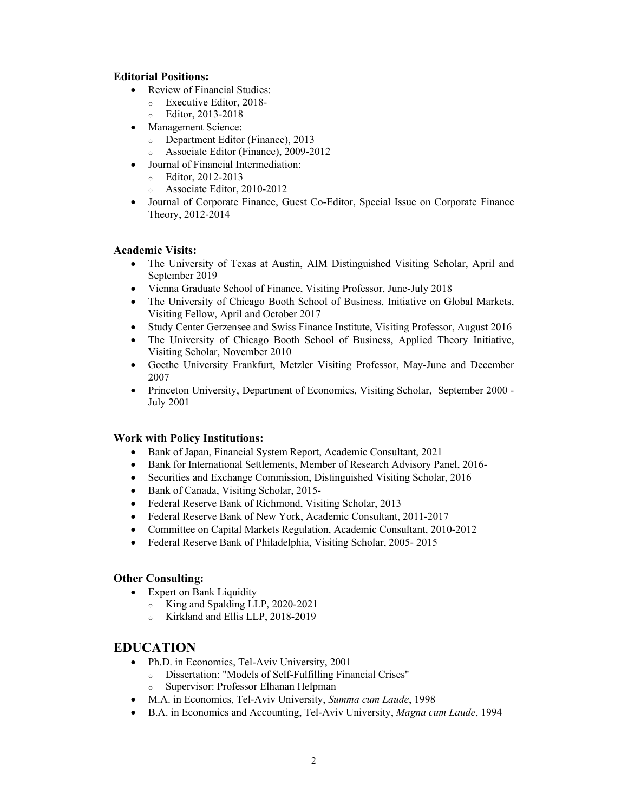## **Editorial Positions:**

- Review of Financial Studies:
	- o Executive Editor, 2018-
	- o Editor, 2013-2018
- Management Science:
	- o Department Editor (Finance), 2013
	- o Associate Editor (Finance), 2009-2012
- Journal of Financial Intermediation:
	- o Editor, 2012-2013
	- o Associate Editor, 2010-2012
- Journal of Corporate Finance, Guest Co-Editor, Special Issue on Corporate Finance Theory, 2012-2014

# **Academic Visits:**

- The University of Texas at Austin, AIM Distinguished Visiting Scholar, April and September 2019
- Vienna Graduate School of Finance, Visiting Professor, June-July 2018
- The University of Chicago Booth School of Business, Initiative on Global Markets, Visiting Fellow, April and October 2017
- Study Center Gerzensee and Swiss Finance Institute, Visiting Professor, August 2016
- The University of Chicago Booth School of Business, Applied Theory Initiative, Visiting Scholar, November 2010
- Goethe University Frankfurt, Metzler Visiting Professor, May-June and December 2007
- Princeton University, Department of Economics, Visiting Scholar, September 2000 -July 2001

## **Work with Policy Institutions:**

- Bank of Japan, Financial System Report, Academic Consultant, 2021
- Bank for International Settlements, Member of Research Advisory Panel, 2016-
- Securities and Exchange Commission, Distinguished Visiting Scholar, 2016
- Bank of Canada, Visiting Scholar, 2015-
- Federal Reserve Bank of Richmond, Visiting Scholar, 2013
- Federal Reserve Bank of New York, Academic Consultant, 2011-2017
- Committee on Capital Markets Regulation, Academic Consultant, 2010-2012
- Federal Reserve Bank of Philadelphia, Visiting Scholar, 2005- 2015

# **Other Consulting:**

- Expert on Bank Liquidity
	- o King and Spalding LLP, 2020-2021
	- o Kirkland and Ellis LLP, 2018-2019

# **EDUCATION**

- Ph.D. in Economics, Tel-Aviv University, 2001
	- o Dissertation: "Models of Self-Fulfilling Financial Crises"
	- o Supervisor: Professor Elhanan Helpman
- M.A. in Economics, Tel-Aviv University, *Summa cum Laude*, 1998
- B.A. in Economics and Accounting, Tel-Aviv University, *Magna cum Laude*, 1994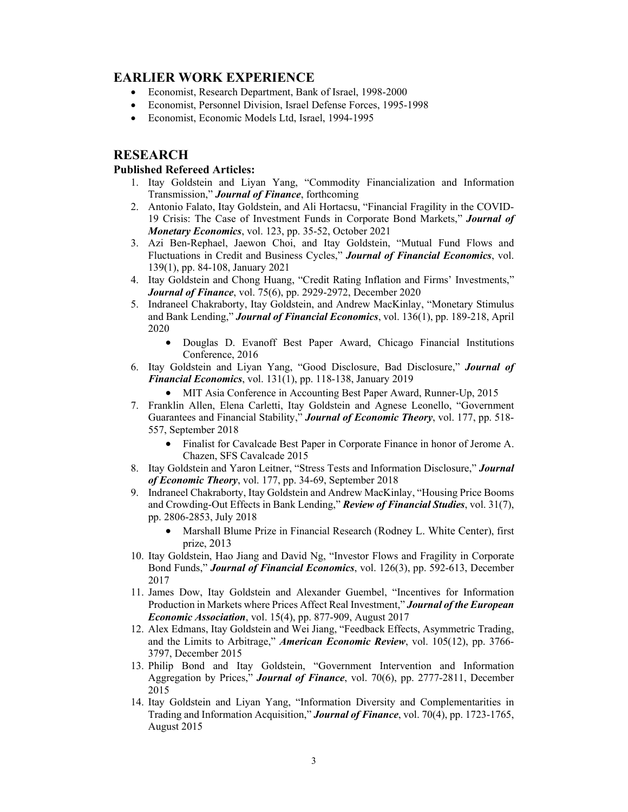# **EARLIER WORK EXPERIENCE**

- Economist, Research Department, Bank of Israel, 1998-2000
- Economist, Personnel Division, Israel Defense Forces, 1995-1998
- Economist, Economic Models Ltd, Israel, 1994-1995

# **RESEARCH**

#### **Published Refereed Articles:**

- 1. Itay Goldstein and Liyan Yang, "Commodity Financialization and Information Transmission," *Journal of Finance*, forthcoming
- 2. Antonio Falato, Itay Goldstein, and Ali Hortacsu, "Financial Fragility in the COVID-19 Crisis: The Case of Investment Funds in Corporate Bond Markets," *Journal of Monetary Economics*, vol. 123, pp. 35-52, October 2021
- 3. Azi Ben-Rephael, Jaewon Choi, and Itay Goldstein, "Mutual Fund Flows and Fluctuations in Credit and Business Cycles," *Journal of Financial Economics*, vol. 139(1), pp. 84-108, January 2021
- 4. Itay Goldstein and Chong Huang, "Credit Rating Inflation and Firms' Investments," *Journal of Finance*, vol. 75(6), pp. 2929-2972, December 2020
- 5. Indraneel Chakraborty, Itay Goldstein, and Andrew MacKinlay, "Monetary Stimulus and Bank Lending," *Journal of Financial Economics*, vol. 136(1), pp. 189-218, April 2020
	- Douglas D. Evanoff Best Paper Award, Chicago Financial Institutions Conference, 2016
- 6. Itay Goldstein and Liyan Yang, "Good Disclosure, Bad Disclosure," *Journal of Financial Economics*, vol. 131(1), pp. 118-138, January 2019
	- MIT Asia Conference in Accounting Best Paper Award, Runner-Up, 2015
- 7. Franklin Allen, Elena Carletti, Itay Goldstein and Agnese Leonello, "Government Guarantees and Financial Stability," *Journal of Economic Theory*, vol. 177, pp. 518- 557, September 2018
	- Finalist for Cavalcade Best Paper in Corporate Finance in honor of Jerome A. Chazen, SFS Cavalcade 2015
- 8. Itay Goldstein and Yaron Leitner, "Stress Tests and Information Disclosure," *Journal of Economic Theory*, vol. 177, pp. 34-69, September 2018
- 9. Indraneel Chakraborty, Itay Goldstein and Andrew MacKinlay, "Housing Price Booms and Crowding-Out Effects in Bank Lending," *Review of Financial Studies*, vol. 31(7), pp. 2806-2853, July 2018
	- Marshall Blume Prize in Financial Research (Rodney L. White Center), first prize, 2013
- 10. Itay Goldstein, Hao Jiang and David Ng, "Investor Flows and Fragility in Corporate Bond Funds," *Journal of Financial Economics*, vol. 126(3), pp. 592-613, December 2017
- 11. James Dow, Itay Goldstein and Alexander Guembel, "Incentives for Information Production in Markets where Prices Affect Real Investment," *Journal of the European Economic Association*, vol. 15(4), pp. 877-909, August 2017
- 12. Alex Edmans, Itay Goldstein and Wei Jiang, "Feedback Effects, Asymmetric Trading, and the Limits to Arbitrage," *American Economic Review*, vol. 105(12), pp. 3766- 3797, December 2015
- 13. Philip Bond and Itay Goldstein, "Government Intervention and Information Aggregation by Prices," *Journal of Finance*, vol. 70(6), pp. 2777-2811, December 2015
- 14. Itay Goldstein and Liyan Yang, "Information Diversity and Complementarities in Trading and Information Acquisition," *Journal of Finance*, vol. 70(4), pp. 1723-1765, August 2015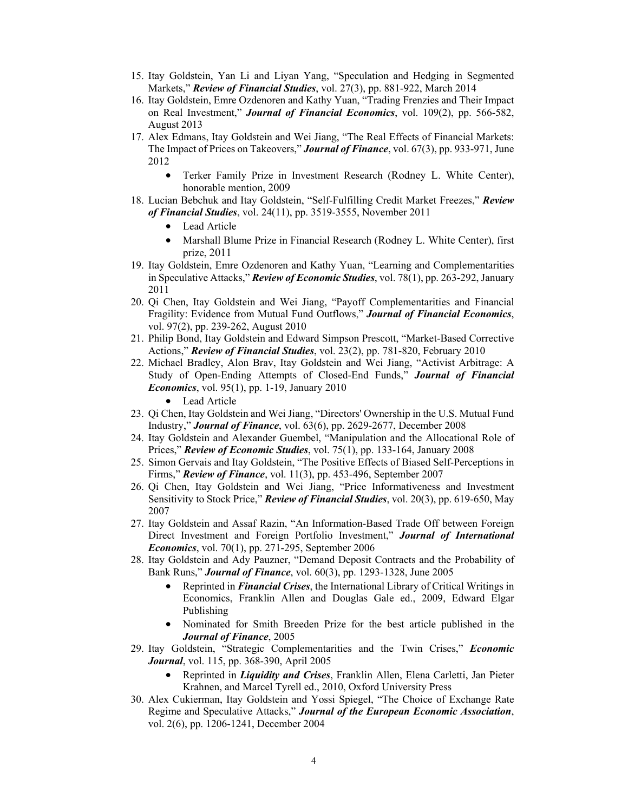- 15. Itay Goldstein, Yan Li and Liyan Yang, "Speculation and Hedging in Segmented Markets," *Review of Financial Studies*, vol. 27(3), pp. 881-922, March 2014
- 16. Itay Goldstein, Emre Ozdenoren and Kathy Yuan, "Trading Frenzies and Their Impact on Real Investment," *Journal of Financial Economics*, vol. 109(2), pp. 566-582, August 2013
- 17. Alex Edmans, Itay Goldstein and Wei Jiang, "The Real Effects of Financial Markets: The Impact of Prices on Takeovers," *Journal of Finance*, vol. 67(3), pp. 933-971, June 2012
	- Terker Family Prize in Investment Research (Rodney L. White Center), honorable mention, 2009
- 18. Lucian Bebchuk and Itay Goldstein, "Self-Fulfilling Credit Market Freezes," *Review of Financial Studies*, vol. 24(11), pp. 3519-3555, November 2011
	- Lead Article
	- Marshall Blume Prize in Financial Research (Rodney L. White Center), first prize, 2011
- 19. Itay Goldstein, Emre Ozdenoren and Kathy Yuan, "Learning and Complementarities in Speculative Attacks," *Review of Economic Studies*, vol. 78(1), pp. 263-292, January 2011
- 20. Qi Chen, Itay Goldstein and Wei Jiang, "Payoff Complementarities and Financial Fragility: Evidence from Mutual Fund Outflows," *Journal of Financial Economics*, vol. 97(2), pp. 239-262, August 2010
- 21. Philip Bond, Itay Goldstein and Edward Simpson Prescott, "Market-Based Corrective Actions," *Review of Financial Studies*, vol. 23(2), pp. 781-820, February 2010
- 22. Michael Bradley, Alon Brav, Itay Goldstein and Wei Jiang, "Activist Arbitrage: A Study of Open-Ending Attempts of Closed-End Funds," *Journal of Financial Economics*, vol. 95(1), pp. 1-19, January 2010
	- Lead Article
- 23. Qi Chen, Itay Goldstein and Wei Jiang, "Directors' Ownership in the U.S. Mutual Fund Industry," *Journal of Finance*, vol. 63(6), pp. 2629-2677, December 2008
- 24. Itay Goldstein and Alexander Guembel, "Manipulation and the Allocational Role of Prices," *Review of Economic Studies*, vol. 75(1), pp. 133-164, January 2008
- 25. Simon Gervais and Itay Goldstein, "The Positive Effects of Biased Self-Perceptions in Firms," *Review of Finance*, vol. 11(3), pp. 453-496, September 2007
- 26. Qi Chen, Itay Goldstein and Wei Jiang, "Price Informativeness and Investment Sensitivity to Stock Price," *Review of Financial Studies*, vol. 20(3), pp. 619-650, May 2007
- 27. Itay Goldstein and Assaf Razin, "An Information-Based Trade Off between Foreign Direct Investment and Foreign Portfolio Investment," *Journal of International Economics*, vol. 70(1), pp. 271-295, September 2006
- 28. Itay Goldstein and Ady Pauzner, "Demand Deposit Contracts and the Probability of Bank Runs," *Journal of Finance*, vol. 60(3), pp. 1293-1328, June 2005
	- Reprinted in *Financial Crises*, the International Library of Critical Writings in Economics, Franklin Allen and Douglas Gale ed., 2009, Edward Elgar Publishing
	- Nominated for Smith Breeden Prize for the best article published in the *Journal of Finance*, 2005
- 29. Itay Goldstein, "Strategic Complementarities and the Twin Crises," *Economic Journal*, vol. 115, pp. 368-390, April 2005
	- Reprinted in *Liquidity and Crises*, Franklin Allen, Elena Carletti, Jan Pieter Krahnen, and Marcel Tyrell ed., 2010, Oxford University Press
- 30. Alex Cukierman, Itay Goldstein and Yossi Spiegel, "The Choice of Exchange Rate Regime and Speculative Attacks," *Journal of the European Economic Association*, vol. 2(6), pp. 1206-1241, December 2004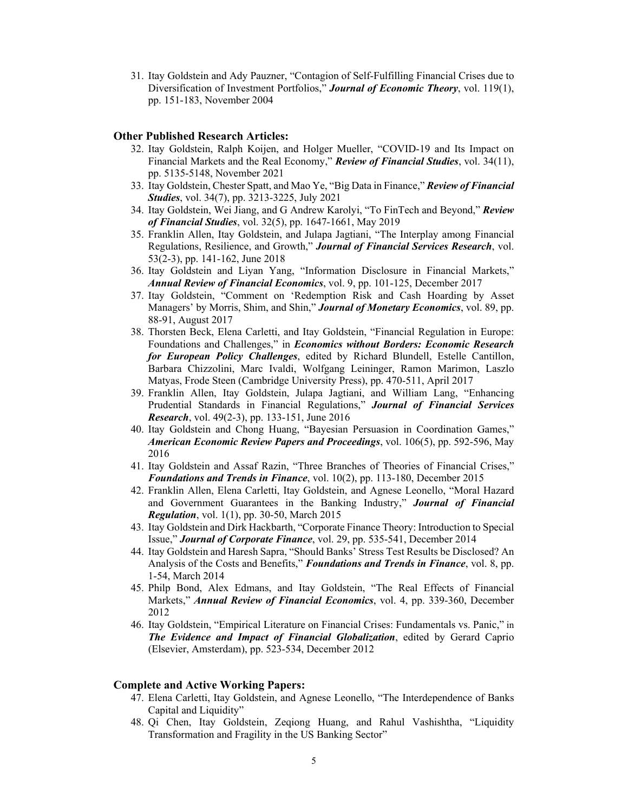31. Itay Goldstein and Ady Pauzner, "Contagion of Self-Fulfilling Financial Crises due to Diversification of Investment Portfolios," *Journal of Economic Theory*, vol. 119(1), pp. 151-183, November 2004

#### **Other Published Research Articles:**

- 32. Itay Goldstein, Ralph Koijen, and Holger Mueller, "COVID-19 and Its Impact on Financial Markets and the Real Economy," *Review of Financial Studies*, vol. 34(11), pp. 5135-5148, November 2021
- 33. Itay Goldstein, Chester Spatt, and Mao Ye, "Big Data in Finance," *Review of Financial Studies*, vol. 34(7), pp. 3213-3225, July 2021
- 34. Itay Goldstein, Wei Jiang, and G Andrew Karolyi, "To FinTech and Beyond," *Review of Financial Studies*, vol. 32(5), pp. 1647-1661, May 2019
- 35. Franklin Allen, Itay Goldstein, and Julapa Jagtiani, "The Interplay among Financial Regulations, Resilience, and Growth," *Journal of Financial Services Research*, vol. 53(2-3), pp. 141-162, June 2018
- 36. Itay Goldstein and Liyan Yang, "Information Disclosure in Financial Markets," *Annual Review of Financial Economics*, vol. 9, pp. 101-125, December 2017
- 37. Itay Goldstein, "Comment on 'Redemption Risk and Cash Hoarding by Asset Managers' by Morris, Shim, and Shin," *Journal of Monetary Economics*, vol. 89, pp. 88-91, August 2017
- 38. Thorsten Beck, Elena Carletti, and Itay Goldstein, "Financial Regulation in Europe: Foundations and Challenges," in *Economics without Borders: Economic Research for European Policy Challenges*, edited by Richard Blundell, Estelle Cantillon, Barbara Chizzolini, Marc Ivaldi, Wolfgang Leininger, Ramon Marimon, Laszlo Matyas, Frode Steen (Cambridge University Press), pp. 470-511, April 2017
- 39. Franklin Allen, Itay Goldstein, Julapa Jagtiani, and William Lang, "Enhancing Prudential Standards in Financial Regulations," *Journal of Financial Services Research*, vol. 49(2-3), pp. 133-151, June 2016
- 40. Itay Goldstein and Chong Huang, "Bayesian Persuasion in Coordination Games," *American Economic Review Papers and Proceedings*, vol. 106(5), pp. 592-596, May 2016
- 41. Itay Goldstein and Assaf Razin, "Three Branches of Theories of Financial Crises," *Foundations and Trends in Finance*, vol. 10(2), pp. 113-180, December 2015
- 42. Franklin Allen, Elena Carletti, Itay Goldstein, and Agnese Leonello, "Moral Hazard and Government Guarantees in the Banking Industry," *Journal of Financial Regulation*, vol. 1(1), pp. 30-50, March 2015
- 43. Itay Goldstein and Dirk Hackbarth, "Corporate Finance Theory: Introduction to Special Issue," *Journal of Corporate Finance*, vol. 29, pp. 535-541, December 2014
- 44. Itay Goldstein and Haresh Sapra, "Should Banks' Stress Test Results be Disclosed? An Analysis of the Costs and Benefits," *Foundations and Trends in Finance*, vol. 8, pp. 1-54, March 2014
- 45. Philp Bond, Alex Edmans, and Itay Goldstein, "The Real Effects of Financial Markets," *Annual Review of Financial Economics*, vol. 4, pp. 339-360, December 2012
- 46. Itay Goldstein, "Empirical Literature on Financial Crises: Fundamentals vs. Panic," in *The Evidence and Impact of Financial Globalization*, edited by Gerard Caprio (Elsevier, Amsterdam), pp. 523-534, December 2012

#### **Complete and Active Working Papers:**

- 47. Elena Carletti, Itay Goldstein, and Agnese Leonello, "The Interdependence of Banks Capital and Liquidity"
- 48. Qi Chen, Itay Goldstein, Zeqiong Huang, and Rahul Vashishtha, "Liquidity Transformation and Fragility in the US Banking Sector"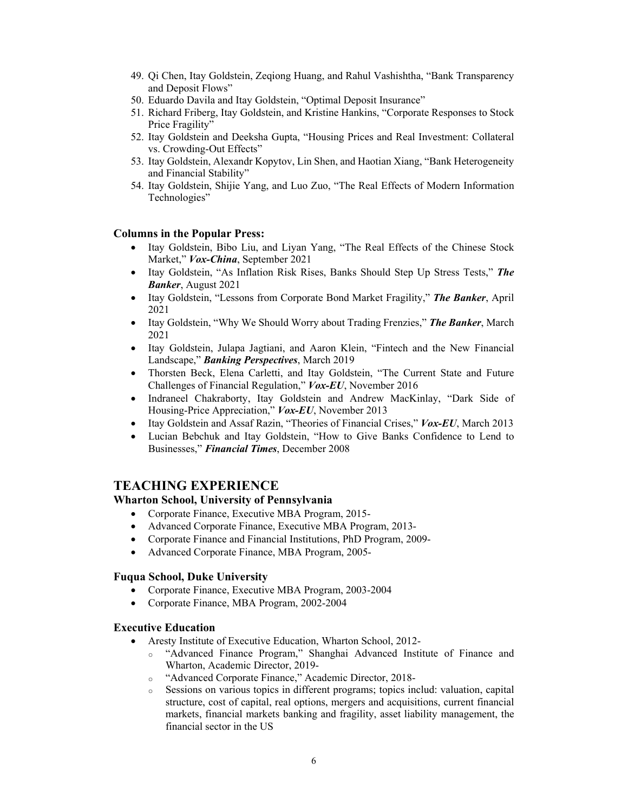- 49. Qi Chen, Itay Goldstein, Zeqiong Huang, and Rahul Vashishtha, "Bank Transparency and Deposit Flows"
- 50. Eduardo Davila and Itay Goldstein, "Optimal Deposit Insurance"
- 51. Richard Friberg, Itay Goldstein, and Kristine Hankins, "Corporate Responses to Stock Price Fragility"
- 52. Itay Goldstein and Deeksha Gupta, "Housing Prices and Real Investment: Collateral vs. Crowding-Out Effects"
- 53. Itay Goldstein, Alexandr Kopytov, Lin Shen, and Haotian Xiang, "Bank Heterogeneity and Financial Stability"
- 54. Itay Goldstein, Shijie Yang, and Luo Zuo, "The Real Effects of Modern Information Technologies"

## **Columns in the Popular Press:**

- Itay Goldstein, Bibo Liu, and Liyan Yang, "The Real Effects of the Chinese Stock Market," *Vox-China*, September 2021
- Itay Goldstein, "As Inflation Risk Rises, Banks Should Step Up Stress Tests," *The Banker*, August 2021
- Itay Goldstein, "Lessons from Corporate Bond Market Fragility," *The Banker*, April 2021
- Itay Goldstein, "Why We Should Worry about Trading Frenzies," *The Banker*, March 2021
- Itay Goldstein, Julapa Jagtiani, and Aaron Klein, "Fintech and the New Financial Landscape," *Banking Perspectives*, March 2019
- Thorsten Beck, Elena Carletti, and Itay Goldstein, "The Current State and Future Challenges of Financial Regulation," *Vox-EU*, November 2016
- Indraneel Chakraborty, Itay Goldstein and Andrew MacKinlay, "Dark Side of Housing-Price Appreciation," *Vox-EU*, November 2013
- Itay Goldstein and Assaf Razin, "Theories of Financial Crises," *Vox-EU*, March 2013
- Lucian Bebchuk and Itay Goldstein, "How to Give Banks Confidence to Lend to Businesses," *Financial Times*, December 2008

# **TEACHING EXPERIENCE**

#### **Wharton School, University of Pennsylvania**

- Corporate Finance, Executive MBA Program, 2015-
- Advanced Corporate Finance, Executive MBA Program, 2013-
- Corporate Finance and Financial Institutions, PhD Program, 2009-
- Advanced Corporate Finance, MBA Program, 2005-

#### **Fuqua School, Duke University**

- Corporate Finance, Executive MBA Program, 2003-2004
- Corporate Finance, MBA Program, 2002-2004

#### **Executive Education**

- Aresty Institute of Executive Education, Wharton School, 2012
	- o "Advanced Finance Program," Shanghai Advanced Institute of Finance and Wharton, Academic Director, 2019-
	- o "Advanced Corporate Finance," Academic Director, 2018-
	- $\circ$  Sessions on various topics in different programs; topics includ: valuation, capital structure, cost of capital, real options, mergers and acquisitions, current financial markets, financial markets banking and fragility, asset liability management, the financial sector in the US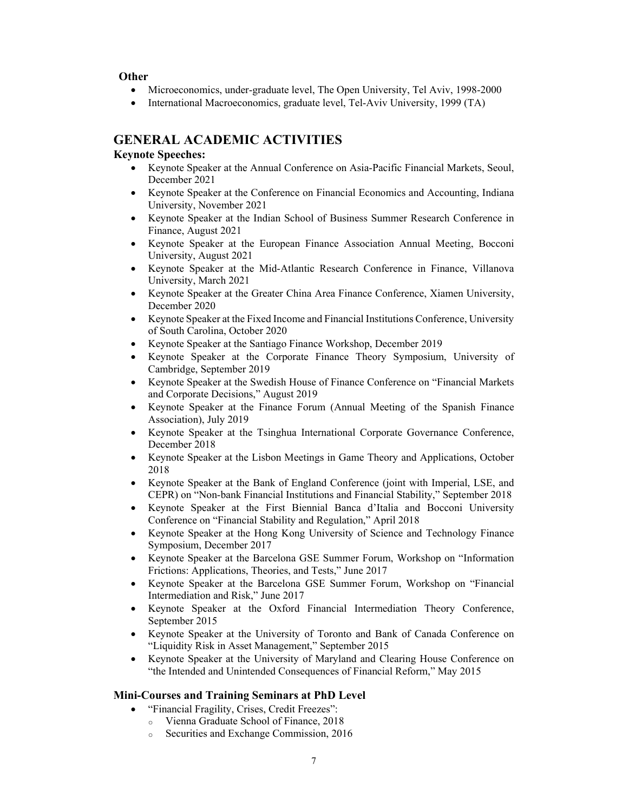**Other** 

- Microeconomics, under-graduate level, The Open University, Tel Aviv, 1998-2000
- International Macroeconomics, graduate level, Tel-Aviv University, 1999 (TA)

# **GENERAL ACADEMIC ACTIVITIES**

# **Keynote Speeches:**

- Keynote Speaker at the Annual Conference on Asia-Pacific Financial Markets, Seoul, December 2021
- Keynote Speaker at the Conference on Financial Economics and Accounting, Indiana University, November 2021
- Keynote Speaker at the Indian School of Business Summer Research Conference in Finance, August 2021
- Keynote Speaker at the European Finance Association Annual Meeting, Bocconi University, August 2021
- Keynote Speaker at the Mid-Atlantic Research Conference in Finance, Villanova University, March 2021
- Keynote Speaker at the Greater China Area Finance Conference, Xiamen University, December 2020
- Keynote Speaker at the Fixed Income and Financial Institutions Conference, University of South Carolina, October 2020
- Keynote Speaker at the Santiago Finance Workshop, December 2019
- Keynote Speaker at the Corporate Finance Theory Symposium, University of Cambridge, September 2019
- Keynote Speaker at the Swedish House of Finance Conference on "Financial Markets and Corporate Decisions," August 2019
- Keynote Speaker at the Finance Forum (Annual Meeting of the Spanish Finance Association), July 2019
- Keynote Speaker at the Tsinghua International Corporate Governance Conference, December 2018
- Keynote Speaker at the Lisbon Meetings in Game Theory and Applications, October 2018
- Keynote Speaker at the Bank of England Conference (joint with Imperial, LSE, and CEPR) on "Non-bank Financial Institutions and Financial Stability," September 2018
- Keynote Speaker at the First Biennial Banca d'Italia and Bocconi University Conference on "Financial Stability and Regulation," April 2018
- Keynote Speaker at the Hong Kong University of Science and Technology Finance Symposium, December 2017
- Keynote Speaker at the Barcelona GSE Summer Forum, Workshop on "Information Frictions: Applications, Theories, and Tests," June 2017
- Keynote Speaker at the Barcelona GSE Summer Forum, Workshop on "Financial Intermediation and Risk," June 2017
- Keynote Speaker at the Oxford Financial Intermediation Theory Conference, September 2015
- Keynote Speaker at the University of Toronto and Bank of Canada Conference on "Liquidity Risk in Asset Management," September 2015
- Keynote Speaker at the University of Maryland and Clearing House Conference on "the Intended and Unintended Consequences of Financial Reform," May 2015

## **Mini-Courses and Training Seminars at PhD Level**

- "Financial Fragility, Crises, Credit Freezes":
	- o Vienna Graduate School of Finance, 2018
	- o Securities and Exchange Commission, 2016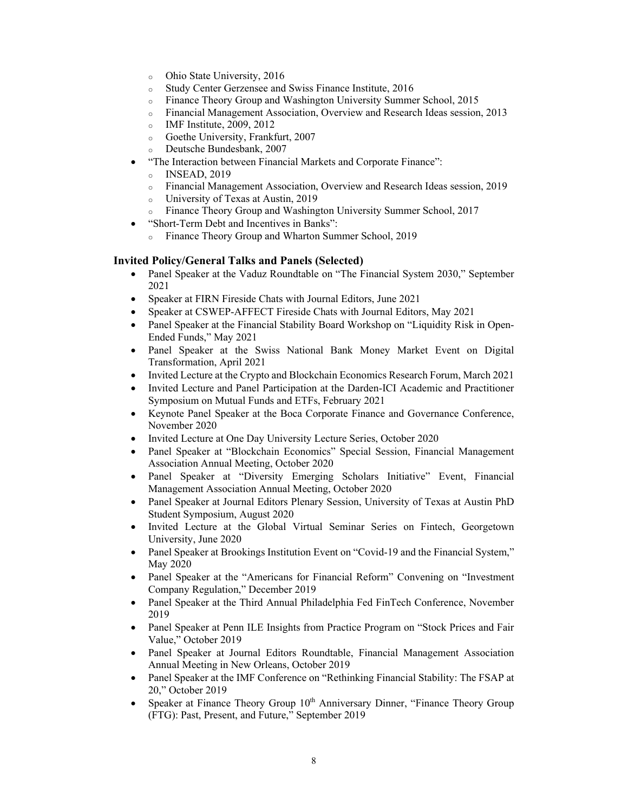- o Ohio State University, 2016
- o Study Center Gerzensee and Swiss Finance Institute, 2016
- o Finance Theory Group and Washington University Summer School, 2015
- o Financial Management Association, Overview and Research Ideas session, 2013
- o IMF Institute, 2009, 2012
- o Goethe University, Frankfurt, 2007
- o Deutsche Bundesbank, 2007
- "The Interaction between Financial Markets and Corporate Finance":
	- o INSEAD, 2019
	- o Financial Management Association, Overview and Research Ideas session, 2019
	- o University of Texas at Austin, 2019
	- o Finance Theory Group and Washington University Summer School, 2017
- "Short-Term Debt and Incentives in Banks":
	- o Finance Theory Group and Wharton Summer School, 2019

#### **Invited Policy/General Talks and Panels (Selected)**

- Panel Speaker at the Vaduz Roundtable on "The Financial System 2030," September 2021
- Speaker at FIRN Fireside Chats with Journal Editors, June 2021
- Speaker at CSWEP-AFFECT Fireside Chats with Journal Editors, May 2021
- Panel Speaker at the Financial Stability Board Workshop on "Liquidity Risk in Open-Ended Funds," May 2021
- Panel Speaker at the Swiss National Bank Money Market Event on Digital Transformation, April 2021
- Invited Lecture at the Crypto and Blockchain Economics Research Forum, March 2021
- Invited Lecture and Panel Participation at the Darden-ICI Academic and Practitioner Symposium on Mutual Funds and ETFs, February 2021
- Keynote Panel Speaker at the Boca Corporate Finance and Governance Conference, November 2020
- Invited Lecture at One Day University Lecture Series, October 2020
- Panel Speaker at "Blockchain Economics" Special Session, Financial Management Association Annual Meeting, October 2020
- Panel Speaker at "Diversity Emerging Scholars Initiative" Event, Financial Management Association Annual Meeting, October 2020
- Panel Speaker at Journal Editors Plenary Session, University of Texas at Austin PhD Student Symposium, August 2020
- Invited Lecture at the Global Virtual Seminar Series on Fintech, Georgetown University, June 2020
- Panel Speaker at Brookings Institution Event on "Covid-19 and the Financial System," May 2020
- Panel Speaker at the "Americans for Financial Reform" Convening on "Investment Company Regulation," December 2019
- Panel Speaker at the Third Annual Philadelphia Fed FinTech Conference, November 2019
- Panel Speaker at Penn ILE Insights from Practice Program on "Stock Prices and Fair Value," October 2019
- Panel Speaker at Journal Editors Roundtable, Financial Management Association Annual Meeting in New Orleans, October 2019
- Panel Speaker at the IMF Conference on "Rethinking Financial Stability: The FSAP at 20," October 2019
- Speaker at Finance Theory Group 10<sup>th</sup> Anniversary Dinner, "Finance Theory Group (FTG): Past, Present, and Future," September 2019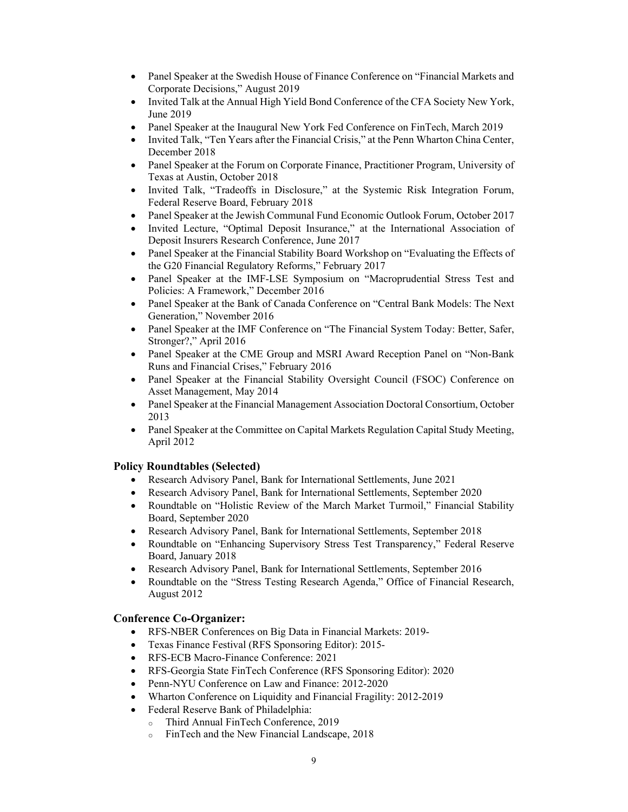- Panel Speaker at the Swedish House of Finance Conference on "Financial Markets and Corporate Decisions," August 2019
- Invited Talk at the Annual High Yield Bond Conference of the CFA Society New York, June 2019
- Panel Speaker at the Inaugural New York Fed Conference on FinTech, March 2019
- Invited Talk, "Ten Years after the Financial Crisis," at the Penn Wharton China Center, December 2018
- Panel Speaker at the Forum on Corporate Finance, Practitioner Program, University of Texas at Austin, October 2018
- Invited Talk, "Tradeoffs in Disclosure," at the Systemic Risk Integration Forum, Federal Reserve Board, February 2018
- Panel Speaker at the Jewish Communal Fund Economic Outlook Forum, October 2017
- Invited Lecture, "Optimal Deposit Insurance," at the International Association of Deposit Insurers Research Conference, June 2017
- Panel Speaker at the Financial Stability Board Workshop on "Evaluating the Effects of the G20 Financial Regulatory Reforms," February 2017
- Panel Speaker at the IMF-LSE Symposium on "Macroprudential Stress Test and Policies: A Framework," December 2016
- Panel Speaker at the Bank of Canada Conference on "Central Bank Models: The Next Generation," November 2016
- Panel Speaker at the IMF Conference on "The Financial System Today: Better, Safer, Stronger?," April 2016
- Panel Speaker at the CME Group and MSRI Award Reception Panel on "Non-Bank Runs and Financial Crises," February 2016
- Panel Speaker at the Financial Stability Oversight Council (FSOC) Conference on Asset Management, May 2014
- Panel Speaker at the Financial Management Association Doctoral Consortium, October 2013
- Panel Speaker at the Committee on Capital Markets Regulation Capital Study Meeting, April 2012

## **Policy Roundtables (Selected)**

- Research Advisory Panel, Bank for International Settlements, June 2021
- Research Advisory Panel, Bank for International Settlements, September 2020
- Roundtable on "Holistic Review of the March Market Turmoil," Financial Stability Board, September 2020
- Research Advisory Panel, Bank for International Settlements, September 2018
- Roundtable on "Enhancing Supervisory Stress Test Transparency," Federal Reserve Board, January 2018
- Research Advisory Panel, Bank for International Settlements, September 2016
- Roundtable on the "Stress Testing Research Agenda," Office of Financial Research, August 2012

## **Conference Co-Organizer:**

- RFS-NBER Conferences on Big Data in Financial Markets: 2019-
- Texas Finance Festival (RFS Sponsoring Editor): 2015-
- RFS-ECB Macro-Finance Conference: 2021
- RFS-Georgia State FinTech Conference (RFS Sponsoring Editor): 2020
- Penn-NYU Conference on Law and Finance: 2012-2020
- Wharton Conference on Liquidity and Financial Fragility: 2012-2019
- Federal Reserve Bank of Philadelphia:
	- o Third Annual FinTech Conference, 2019
	- o FinTech and the New Financial Landscape, 2018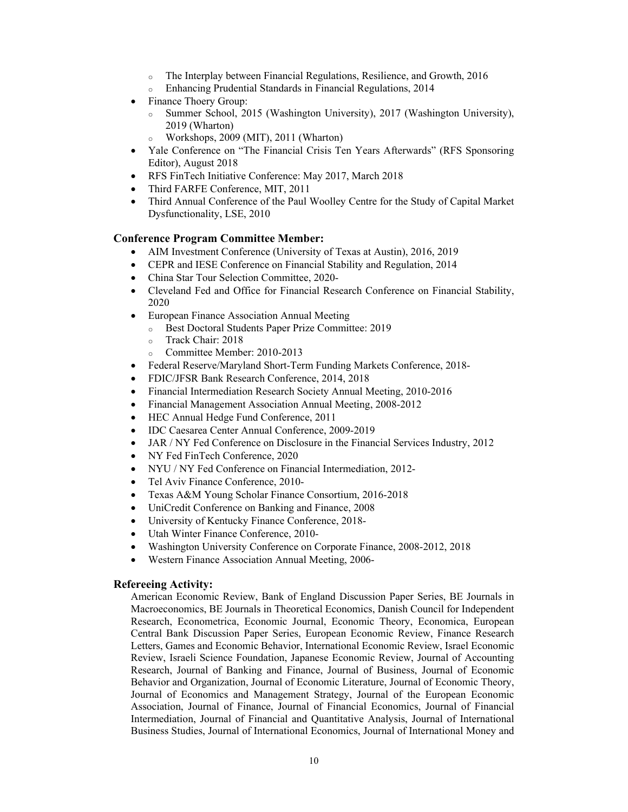- o The Interplay between Financial Regulations, Resilience, and Growth, 2016
- o Enhancing Prudential Standards in Financial Regulations, 2014
- Finance Thoery Group:
	- o Summer School, 2015 (Washington University), 2017 (Washington University), 2019 (Wharton)
	- o Workshops, 2009 (MIT), 2011 (Wharton)
- Yale Conference on "The Financial Crisis Ten Years Afterwards" (RFS Sponsoring Editor), August 2018
- RFS FinTech Initiative Conference: May 2017, March 2018
- Third FARFE Conference, MIT, 2011
- Third Annual Conference of the Paul Woolley Centre for the Study of Capital Market Dysfunctionality, LSE, 2010

#### **Conference Program Committee Member:**

- AIM Investment Conference (University of Texas at Austin), 2016, 2019
- CEPR and IESE Conference on Financial Stability and Regulation, 2014
- China Star Tour Selection Committee, 2020-
- Cleveland Fed and Office for Financial Research Conference on Financial Stability, 2020
- European Finance Association Annual Meeting
	- o Best Doctoral Students Paper Prize Committee: 2019
	- o Track Chair: 2018
	- o Committee Member: 2010-2013
- Federal Reserve/Maryland Short-Term Funding Markets Conference, 2018-
- FDIC/JFSR Bank Research Conference, 2014, 2018
- Financial Intermediation Research Society Annual Meeting, 2010-2016
- Financial Management Association Annual Meeting, 2008-2012
- HEC Annual Hedge Fund Conference, 2011
- IDC Caesarea Center Annual Conference, 2009-2019
- JAR / NY Fed Conference on Disclosure in the Financial Services Industry, 2012
- NY Fed FinTech Conference, 2020
- NYU / NY Fed Conference on Financial Intermediation, 2012-
- Tel Aviv Finance Conference, 2010-
- Texas A&M Young Scholar Finance Consortium, 2016-2018
- UniCredit Conference on Banking and Finance, 2008
- University of Kentucky Finance Conference, 2018-
- Utah Winter Finance Conference, 2010-
- Washington University Conference on Corporate Finance, 2008-2012, 2018
- Western Finance Association Annual Meeting, 2006-

#### **Refereeing Activity:**

American Economic Review, Bank of England Discussion Paper Series, BE Journals in Macroeconomics, BE Journals in Theoretical Economics, Danish Council for Independent Research, Econometrica, Economic Journal, Economic Theory, Economica, European Central Bank Discussion Paper Series, European Economic Review, Finance Research Letters, Games and Economic Behavior, International Economic Review, Israel Economic Review, Israeli Science Foundation, Japanese Economic Review, Journal of Accounting Research, Journal of Banking and Finance, Journal of Business, Journal of Economic Behavior and Organization, Journal of Economic Literature, Journal of Economic Theory, Journal of Economics and Management Strategy, Journal of the European Economic Association, Journal of Finance, Journal of Financial Economics, Journal of Financial Intermediation, Journal of Financial and Quantitative Analysis, Journal of International Business Studies, Journal of International Economics, Journal of International Money and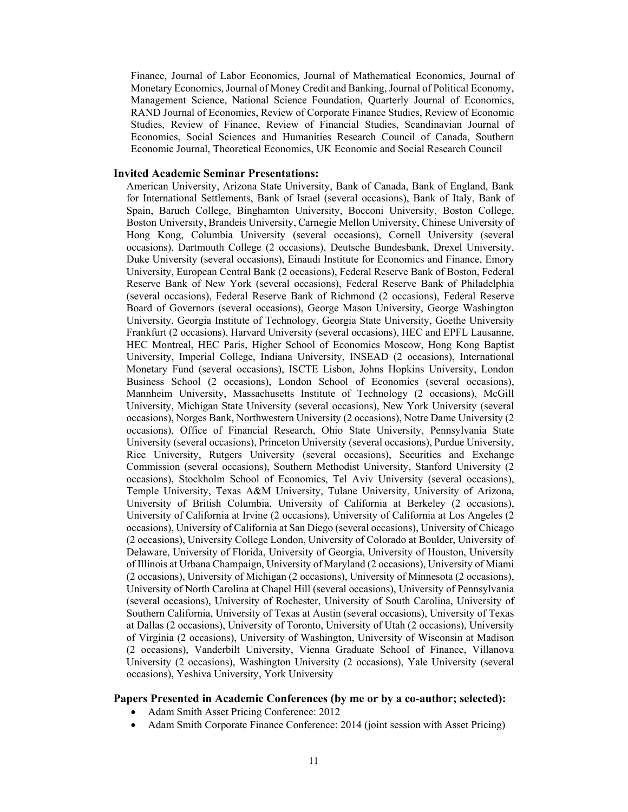Finance, Journal of Labor Economics, Journal of Mathematical Economics, Journal of Monetary Economics, Journal of Money Credit and Banking, Journal of Political Economy, Management Science, National Science Foundation, Quarterly Journal of Economics, RAND Journal of Economics, Review of Corporate Finance Studies, Review of Economic Studies, Review of Finance, Review of Financial Studies, Scandinavian Journal of Economics, Social Sciences and Humanities Research Council of Canada, Southern Economic Journal, Theoretical Economics, UK Economic and Social Research Council

#### **Invited Academic Seminar Presentations:**

American University, Arizona State University, Bank of Canada, Bank of England, Bank for International Settlements, Bank of Israel (several occasions), Bank of Italy, Bank of Spain, Baruch College, Binghamton University, Bocconi University, Boston College, Boston University, Brandeis University, Carnegie Mellon University, Chinese University of Hong Kong, Columbia University (several occasions), Cornell University (several occasions), Dartmouth College (2 occasions), Deutsche Bundesbank, Drexel University, Duke University (several occasions), Einaudi Institute for Economics and Finance, Emory University, European Central Bank (2 occasions), Federal Reserve Bank of Boston, Federal Reserve Bank of New York (several occasions), Federal Reserve Bank of Philadelphia (several occasions), Federal Reserve Bank of Richmond (2 occasions), Federal Reserve Board of Governors (several occasions), George Mason University, George Washington University, Georgia Institute of Technology, Georgia State University, Goethe University Frankfurt (2 occasions), Harvard University (several occasions), HEC and EPFL Lausanne, HEC Montreal, HEC Paris, Higher School of Economics Moscow, Hong Kong Baptist University, Imperial College, Indiana University, INSEAD (2 occasions), International Monetary Fund (several occasions), ISCTE Lisbon, Johns Hopkins University, London Business School (2 occasions), London School of Economics (several occasions), Mannheim University, Massachusetts Institute of Technology (2 occasions), McGill University, Michigan State University (several occasions), New York University (several occasions), Norges Bank, Northwestern University (2 occasions), Notre Dame University (2 occasions), Office of Financial Research, Ohio State University, Pennsylvania State University (several occasions), Princeton University (several occasions), Purdue University, Rice University, Rutgers University (several occasions), Securities and Exchange Commission (several occasions), Southern Methodist University, Stanford University (2 occasions), Stockholm School of Economics, Tel Aviv University (several occasions), Temple University, Texas A&M University, Tulane University, University of Arizona, University of British Columbia, University of California at Berkeley (2 occasions), University of California at Irvine (2 occasions), University of California at Los Angeles (2 occasions), University of California at San Diego (several occasions), University of Chicago (2 occasions), University College London, University of Colorado at Boulder, University of Delaware, University of Florida, University of Georgia, University of Houston, University of Illinois at Urbana Champaign, University of Maryland (2 occasions), University of Miami (2 occasions), University of Michigan (2 occasions), University of Minnesota (2 occasions), University of North Carolina at Chapel Hill (several occasions), University of Pennsylvania (several occasions), University of Rochester, University of South Carolina, University of Southern California, University of Texas at Austin (several occasions), University of Texas at Dallas (2 occasions), University of Toronto, University of Utah (2 occasions), University of Virginia (2 occasions), University of Washington, University of Wisconsin at Madison (2 occasions), Vanderbilt University, Vienna Graduate School of Finance, Villanova University (2 occasions), Washington University (2 occasions), Yale University (several occasions), Yeshiva University, York University

#### **Papers Presented in Academic Conferences (by me or by a co-author; selected):**

- Adam Smith Asset Pricing Conference: 2012
- Adam Smith Corporate Finance Conference: 2014 (joint session with Asset Pricing)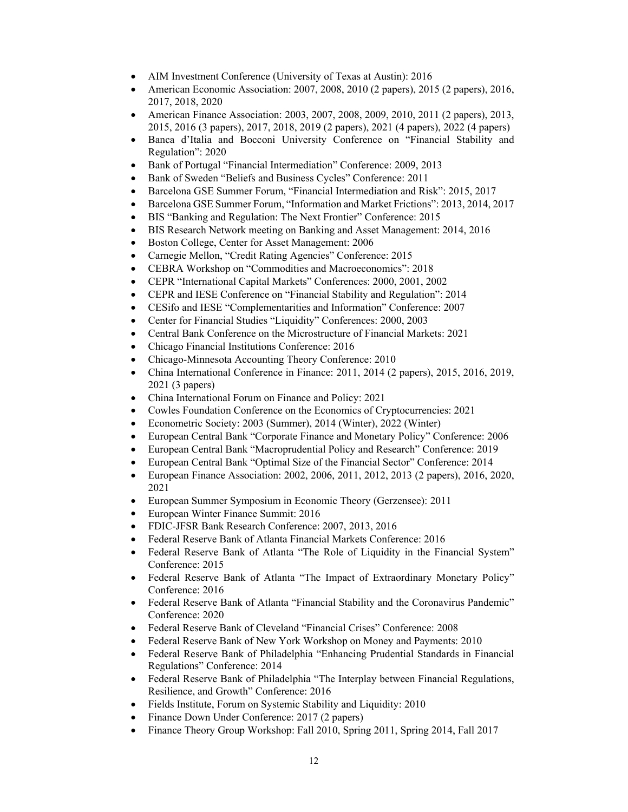- AIM Investment Conference (University of Texas at Austin): 2016
- American Economic Association: 2007, 2008, 2010 (2 papers), 2015 (2 papers), 2016, 2017, 2018, 2020
- American Finance Association: 2003, 2007, 2008, 2009, 2010, 2011 (2 papers), 2013, 2015, 2016 (3 papers), 2017, 2018, 2019 (2 papers), 2021 (4 papers), 2022 (4 papers)
- Banca d'Italia and Bocconi University Conference on "Financial Stability and Regulation": 2020
- Bank of Portugal "Financial Intermediation" Conference: 2009, 2013
- Bank of Sweden "Beliefs and Business Cycles" Conference: 2011
- Barcelona GSE Summer Forum, "Financial Intermediation and Risk": 2015, 2017
- Barcelona GSE Summer Forum, "Information and Market Frictions": 2013, 2014, 2017
- BIS "Banking and Regulation: The Next Frontier" Conference: 2015
- BIS Research Network meeting on Banking and Asset Management: 2014, 2016
- Boston College, Center for Asset Management: 2006
- Carnegie Mellon, "Credit Rating Agencies" Conference: 2015
- CEBRA Workshop on "Commodities and Macroeconomics": 2018
- CEPR "International Capital Markets" Conferences: 2000, 2001, 2002
- CEPR and IESE Conference on "Financial Stability and Regulation": 2014
- CESifo and IESE "Complementarities and Information" Conference: 2007
- Center for Financial Studies "Liquidity" Conferences: 2000, 2003
- Central Bank Conference on the Microstructure of Financial Markets: 2021
- Chicago Financial Institutions Conference: 2016
- Chicago-Minnesota Accounting Theory Conference: 2010
- China International Conference in Finance: 2011, 2014 (2 papers), 2015, 2016, 2019, 2021 (3 papers)
- China International Forum on Finance and Policy: 2021
- Cowles Foundation Conference on the Economics of Cryptocurrencies: 2021
- Econometric Society: 2003 (Summer), 2014 (Winter), 2022 (Winter)
- European Central Bank "Corporate Finance and Monetary Policy" Conference: 2006
- European Central Bank "Macroprudential Policy and Research" Conference: 2019
- European Central Bank "Optimal Size of the Financial Sector" Conference: 2014
- European Finance Association: 2002, 2006, 2011, 2012, 2013 (2 papers), 2016, 2020, 2021
- European Summer Symposium in Economic Theory (Gerzensee): 2011
- European Winter Finance Summit: 2016
- FDIC-JFSR Bank Research Conference: 2007, 2013, 2016
- Federal Reserve Bank of Atlanta Financial Markets Conference: 2016
- Federal Reserve Bank of Atlanta "The Role of Liquidity in the Financial System" Conference: 2015
- Federal Reserve Bank of Atlanta "The Impact of Extraordinary Monetary Policy" Conference: 2016
- Federal Reserve Bank of Atlanta "Financial Stability and the Coronavirus Pandemic" Conference: 2020
- Federal Reserve Bank of Cleveland "Financial Crises" Conference: 2008
- Federal Reserve Bank of New York Workshop on Money and Payments: 2010
- Federal Reserve Bank of Philadelphia "Enhancing Prudential Standards in Financial Regulations" Conference: 2014
- Federal Reserve Bank of Philadelphia "The Interplay between Financial Regulations, Resilience, and Growth" Conference: 2016
- Fields Institute, Forum on Systemic Stability and Liquidity: 2010
- Finance Down Under Conference: 2017 (2 papers)
- Finance Theory Group Workshop: Fall 2010, Spring 2011, Spring 2014, Fall 2017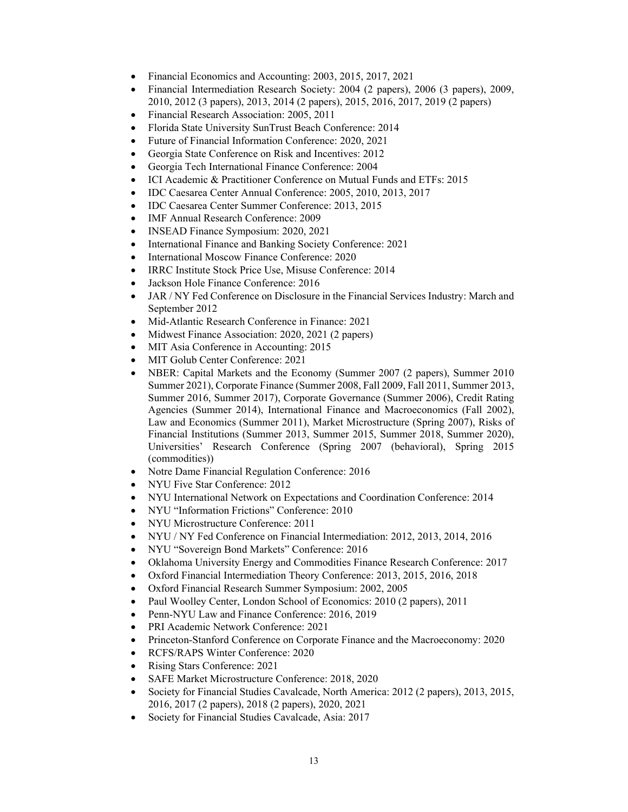- Financial Economics and Accounting: 2003, 2015, 2017, 2021
- Financial Intermediation Research Society: 2004 (2 papers), 2006 (3 papers), 2009, 2010, 2012 (3 papers), 2013, 2014 (2 papers), 2015, 2016, 2017, 2019 (2 papers)
- Financial Research Association: 2005, 2011
- Florida State University SunTrust Beach Conference: 2014
- Future of Financial Information Conference: 2020, 2021
- Georgia State Conference on Risk and Incentives: 2012
- Georgia Tech International Finance Conference: 2004
- ICI Academic & Practitioner Conference on Mutual Funds and ETFs: 2015
- IDC Caesarea Center Annual Conference: 2005, 2010, 2013, 2017
- IDC Caesarea Center Summer Conference: 2013, 2015
- IMF Annual Research Conference: 2009
- INSEAD Finance Symposium: 2020, 2021
- International Finance and Banking Society Conference: 2021
- International Moscow Finance Conference: 2020
- IRRC Institute Stock Price Use, Misuse Conference: 2014
- Jackson Hole Finance Conference: 2016
- JAR / NY Fed Conference on Disclosure in the Financial Services Industry: March and September 2012
- Mid-Atlantic Research Conference in Finance: 2021
- Midwest Finance Association: 2020, 2021 (2 papers)
- MIT Asia Conference in Accounting: 2015
- MIT Golub Center Conference: 2021
- NBER: Capital Markets and the Economy (Summer 2007 (2 papers), Summer 2010 Summer 2021), Corporate Finance (Summer 2008, Fall 2009, Fall 2011, Summer 2013, Summer 2016, Summer 2017), Corporate Governance (Summer 2006), Credit Rating Agencies (Summer 2014), International Finance and Macroeconomics (Fall 2002), Law and Economics (Summer 2011), Market Microstructure (Spring 2007), Risks of Financial Institutions (Summer 2013, Summer 2015, Summer 2018, Summer 2020), Universities' Research Conference (Spring 2007 (behavioral), Spring 2015 (commodities))
- Notre Dame Financial Regulation Conference: 2016
- NYU Five Star Conference: 2012
- NYU International Network on Expectations and Coordination Conference: 2014
- NYU "Information Frictions" Conference: 2010
- NYU Microstructure Conference: 2011
- NYU / NY Fed Conference on Financial Intermediation: 2012, 2013, 2014, 2016
- NYU "Sovereign Bond Markets" Conference: 2016
- Oklahoma University Energy and Commodities Finance Research Conference: 2017
- Oxford Financial Intermediation Theory Conference: 2013, 2015, 2016, 2018
- Oxford Financial Research Summer Symposium: 2002, 2005
- Paul Woolley Center, London School of Economics: 2010 (2 papers), 2011
- Penn-NYU Law and Finance Conference: 2016, 2019
- PRI Academic Network Conference: 2021
- Princeton-Stanford Conference on Corporate Finance and the Macroeconomy: 2020
- RCFS/RAPS Winter Conference: 2020
- Rising Stars Conference: 2021
- SAFE Market Microstructure Conference: 2018, 2020
- Society for Financial Studies Cavalcade, North America: 2012 (2 papers), 2013, 2015, 2016, 2017 (2 papers), 2018 (2 papers), 2020, 2021
- Society for Financial Studies Cavalcade, Asia: 2017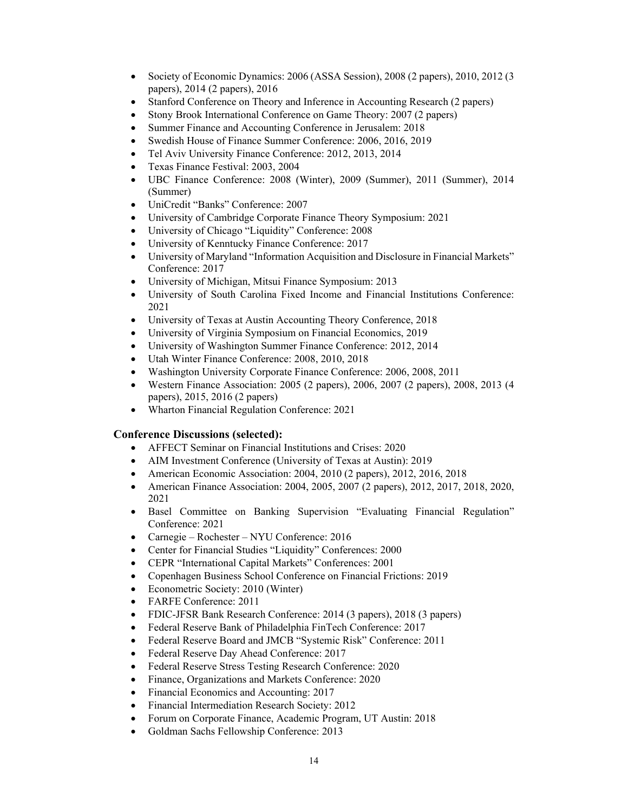- Society of Economic Dynamics: 2006 (ASSA Session), 2008 (2 papers), 2010, 2012 (3 papers), 2014 (2 papers), 2016
- Stanford Conference on Theory and Inference in Accounting Research (2 papers)
- Stony Brook International Conference on Game Theory: 2007 (2 papers)
- Summer Finance and Accounting Conference in Jerusalem: 2018
- Swedish House of Finance Summer Conference: 2006, 2016, 2019
- Tel Aviv University Finance Conference: 2012, 2013, 2014
- Texas Finance Festival: 2003, 2004
- UBC Finance Conference: 2008 (Winter), 2009 (Summer), 2011 (Summer), 2014 (Summer)
- UniCredit "Banks" Conference: 2007
- University of Cambridge Corporate Finance Theory Symposium: 2021
- University of Chicago "Liquidity" Conference: 2008
- University of Kenntucky Finance Conference: 2017
- University of Maryland "Information Acquisition and Disclosure in Financial Markets" Conference: 2017
- University of Michigan, Mitsui Finance Symposium: 2013
- University of South Carolina Fixed Income and Financial Institutions Conference: 2021
- University of Texas at Austin Accounting Theory Conference, 2018
- University of Virginia Symposium on Financial Economics, 2019
- University of Washington Summer Finance Conference: 2012, 2014
- Utah Winter Finance Conference: 2008, 2010, 2018
- Washington University Corporate Finance Conference: 2006, 2008, 2011
- Western Finance Association: 2005 (2 papers), 2006, 2007 (2 papers), 2008, 2013 (4 papers), 2015, 2016 (2 papers)
- Wharton Financial Regulation Conference: 2021

## **Conference Discussions (selected):**

- AFFECT Seminar on Financial Institutions and Crises: 2020
- AIM Investment Conference (University of Texas at Austin): 2019
- American Economic Association: 2004, 2010 (2 papers), 2012, 2016, 2018
- American Finance Association: 2004, 2005, 2007 (2 papers), 2012, 2017, 2018, 2020, 2021
- Basel Committee on Banking Supervision "Evaluating Financial Regulation" Conference: 2021
- Carnegie Rochester NYU Conference: 2016
- Center for Financial Studies "Liquidity" Conferences: 2000
- CEPR "International Capital Markets" Conferences: 2001
- Copenhagen Business School Conference on Financial Frictions: 2019
- Econometric Society: 2010 (Winter)
- FARFE Conference: 2011
- FDIC-JFSR Bank Research Conference: 2014 (3 papers), 2018 (3 papers)
- Federal Reserve Bank of Philadelphia FinTech Conference: 2017
- Federal Reserve Board and JMCB "Systemic Risk" Conference: 2011
- Federal Reserve Day Ahead Conference: 2017
- Federal Reserve Stress Testing Research Conference: 2020
- Finance, Organizations and Markets Conference: 2020
- Financial Economics and Accounting: 2017
- Financial Intermediation Research Society: 2012
- Forum on Corporate Finance, Academic Program, UT Austin: 2018
- Goldman Sachs Fellowship Conference: 2013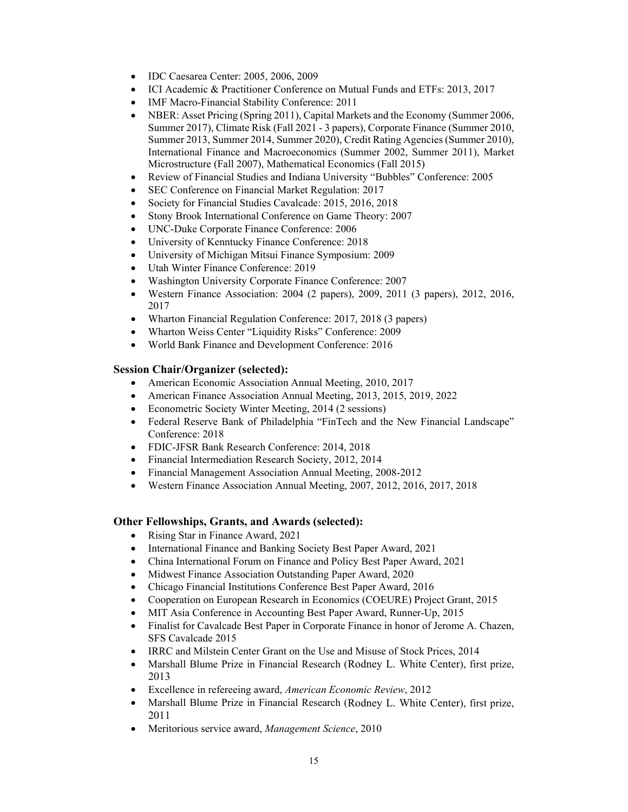- IDC Caesarea Center: 2005, 2006, 2009
- ICI Academic & Practitioner Conference on Mutual Funds and ETFs: 2013, 2017
- IMF Macro-Financial Stability Conference: 2011
- NBER: Asset Pricing (Spring 2011), Capital Markets and the Economy (Summer 2006, Summer 2017), Climate Risk (Fall 2021 - 3 papers), Corporate Finance (Summer 2010, Summer 2013, Summer 2014, Summer 2020), Credit Rating Agencies (Summer 2010), International Finance and Macroeconomics (Summer 2002, Summer 2011), Market Microstructure (Fall 2007), Mathematical Economics (Fall 2015)
- Review of Financial Studies and Indiana University "Bubbles" Conference: 2005
- SEC Conference on Financial Market Regulation: 2017
- Society for Financial Studies Cavalcade: 2015, 2016, 2018
- Stony Brook International Conference on Game Theory: 2007
- UNC-Duke Corporate Finance Conference: 2006
- University of Kenntucky Finance Conference: 2018
- University of Michigan Mitsui Finance Symposium: 2009
- Utah Winter Finance Conference: 2019
- Washington University Corporate Finance Conference: 2007
- Western Finance Association: 2004 (2 papers), 2009, 2011 (3 papers), 2012, 2016, 2017
- Wharton Financial Regulation Conference: 2017, 2018 (3 papers)
- Wharton Weiss Center "Liquidity Risks" Conference: 2009
- World Bank Finance and Development Conference: 2016

#### **Session Chair/Organizer (selected):**

- American Economic Association Annual Meeting, 2010, 2017
- American Finance Association Annual Meeting, 2013, 2015, 2019, 2022
- Econometric Society Winter Meeting, 2014 (2 sessions)
- Federal Reserve Bank of Philadelphia "FinTech and the New Financial Landscape" Conference: 2018
- FDIC-JFSR Bank Research Conference: 2014, 2018
- Financial Intermediation Research Society, 2012, 2014
- Financial Management Association Annual Meeting, 2008-2012
- Western Finance Association Annual Meeting, 2007, 2012, 2016, 2017, 2018

## **Other Fellowships, Grants, and Awards (selected):**

- Rising Star in Finance Award, 2021
- International Finance and Banking Society Best Paper Award, 2021
- China International Forum on Finance and Policy Best Paper Award, 2021
- Midwest Finance Association Outstanding Paper Award, 2020
- Chicago Financial Institutions Conference Best Paper Award, 2016
- Cooperation on European Research in Economics (COEURE) Project Grant, 2015
- MIT Asia Conference in Accounting Best Paper Award, Runner-Up, 2015
- Finalist for Cavalcade Best Paper in Corporate Finance in honor of Jerome A. Chazen, SFS Cavalcade 2015
- IRRC and Milstein Center Grant on the Use and Misuse of Stock Prices, 2014
- Marshall Blume Prize in Financial Research (Rodney L. White Center), first prize, 2013
- Excellence in refereeing award, *American Economic Review*, 2012
- Marshall Blume Prize in Financial Research (Rodney L. White Center), first prize, 2011
- Meritorious service award, *Management Science*, 2010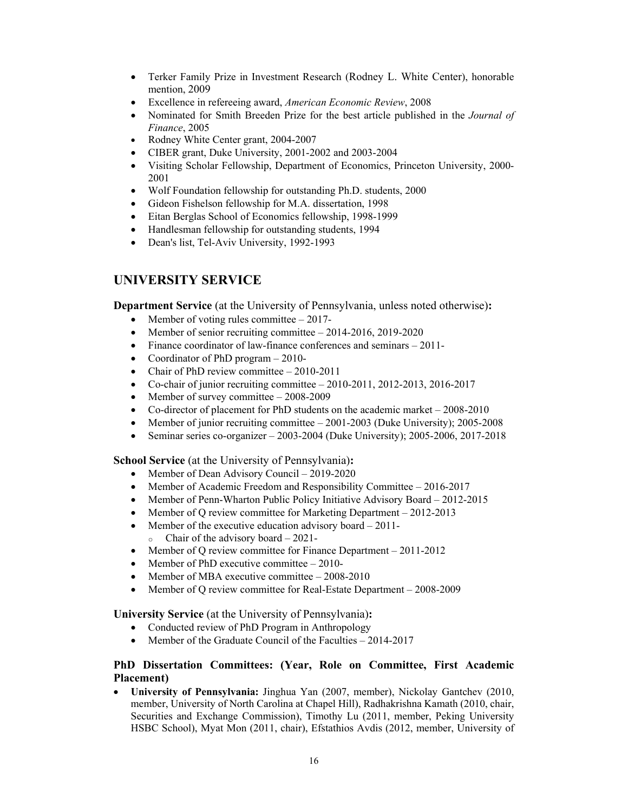- Terker Family Prize in Investment Research (Rodney L. White Center), honorable mention, 2009
- Excellence in refereeing award, *American Economic Review*, 2008
- Nominated for Smith Breeden Prize for the best article published in the *Journal of Finance*, 2005
- Rodney White Center grant, 2004-2007
- CIBER grant, Duke University, 2001-2002 and 2003-2004
- Visiting Scholar Fellowship, Department of Economics, Princeton University, 2000- 2001
- Wolf Foundation fellowship for outstanding Ph.D. students, 2000
- Gideon Fishelson fellowship for M.A. dissertation, 1998
- Eitan Berglas School of Economics fellowship, 1998-1999
- Handlesman fellowship for outstanding students, 1994
- Dean's list, Tel-Aviv University, 1992-1993

# **UNIVERSITY SERVICE**

**Department Service** (at the University of Pennsylvania, unless noted otherwise)**:** 

- Member of voting rules committee  $-2017$ -
- Member of senior recruiting committee  $-2014-2016$ , 2019-2020
- Finance coordinator of law-finance conferences and seminars 2011-
- Coordinator of PhD program 2010-
- Chair of PhD review committee  $-2010-2011$
- Co-chair of junior recruiting committee  $-2010-2011$ ,  $2012-2013$ ,  $2016-2017$
- Member of survey committee  $-2008-2009$
- Co-director of placement for PhD students on the academic market 2008-2010
- Member of junior recruiting committee 2001-2003 (Duke University); 2005-2008
- Seminar series co-organizer 2003-2004 (Duke University); 2005-2006, 2017-2018

**School Service** (at the University of Pennsylvania)**:** 

- Member of Dean Advisory Council 2019-2020
- Member of Academic Freedom and Responsibility Committee 2016-2017
- Member of Penn-Wharton Public Policy Initiative Advisory Board 2012-2015
- Member of Q review committee for Marketing Department 2012-2013
- Member of the executive education advisory board  $-2011$ - $\circ$  Chair of the advisory board – 2021-
- Member of Q review committee for Finance Department 2011-2012
- Member of PhD executive committee 2010-
- Member of MBA executive committee 2008-2010
- Member of Q review committee for Real-Estate Department 2008-2009

**University Service** (at the University of Pennsylvania)**:** 

- Conducted review of PhD Program in Anthropology
- Member of the Graduate Council of the Faculties 2014-2017

# **PhD Dissertation Committees: (Year, Role on Committee, First Academic Placement)**

 **University of Pennsylvania:** Jinghua Yan (2007, member), Nickolay Gantchev (2010, member, University of North Carolina at Chapel Hill), Radhakrishna Kamath (2010, chair, Securities and Exchange Commission), Timothy Lu (2011, member, Peking University HSBC School), Myat Mon (2011, chair), Efstathios Avdis (2012, member, University of